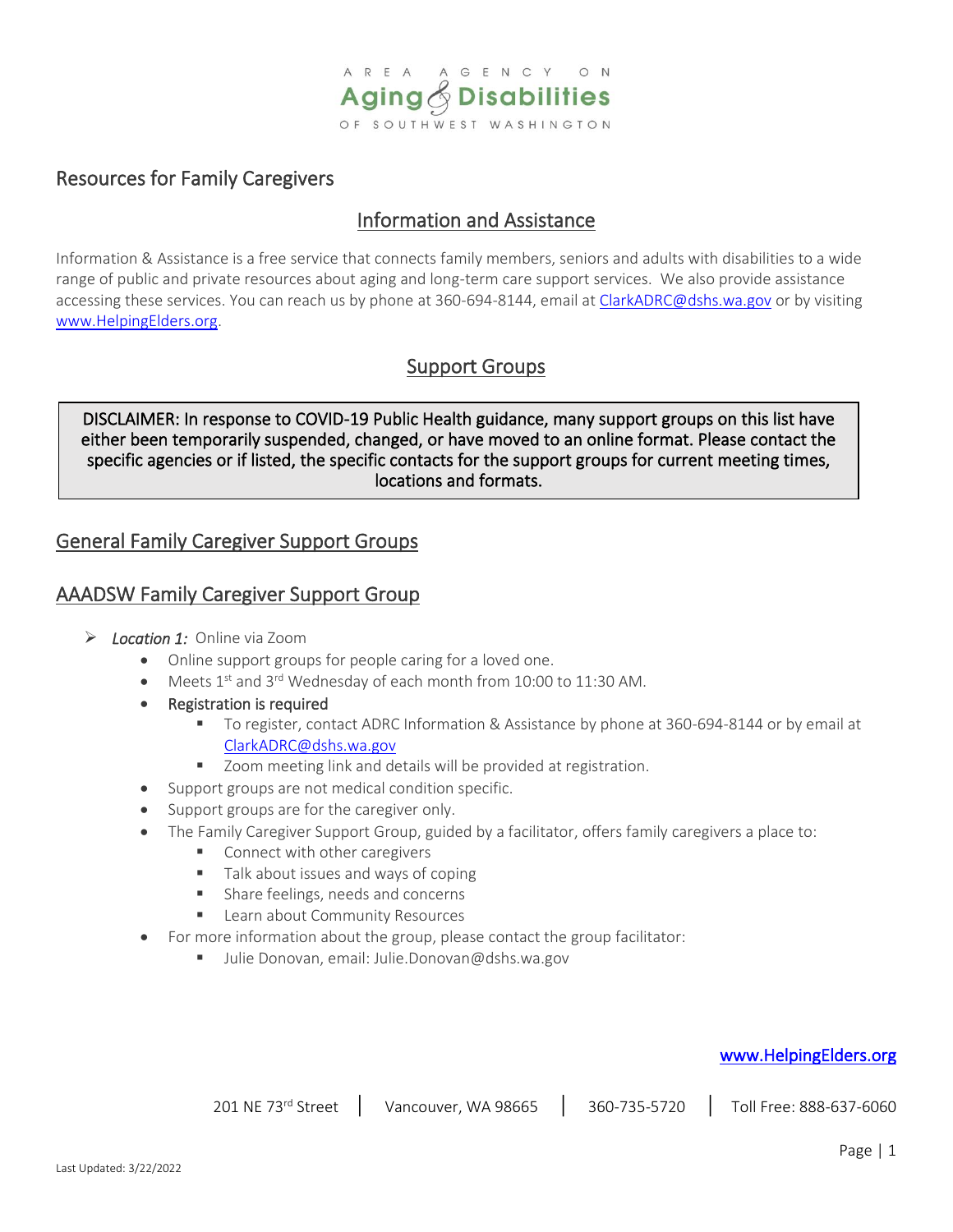

## Resources for Family Caregivers

ĺ  $\overline{\phantom{a}}$  $\overline{\phantom{a}}$ l

# Information and Assistance

Information & Assistance is a free service that connects family members, seniors and adults with disabilities to a wide range of public and private resources about aging and long-term care support services. We also provide assistance accessing these services. You can reach us by phone at 360-694-8144, email at [ClarkADRC@dshs.wa.gov](mailto:ClarkADRC@dshs.wa.gov) or by visiting [www.HelpingElders.org.](http://www.helpingelders.org/)

# Support Groups

DISCLAIMER: In response to COVID-19 Public Health guidance, many support groups on this list have either been temporarily suspended, changed, or have moved to an online format. Please contact the specific agencies or if listed, the specific contacts for the support groups for current meeting times, locations and formats.

## General Family Caregiver Support Groups

## AAADSW Family Caregiver Support Group

- ➢ *Location 1:* Online via Zoom
	- Online support groups for people caring for a loved one.
	- Meets  $1<sup>st</sup>$  and  $3<sup>rd</sup>$  Wednesday of each month from 10:00 to 11:30 AM.
	- **Registration is required** 
		- To register, contact ADRC Information & Assistance by phone at 360-694-8144 or by email at [ClarkADRC@dshs.wa.gov](mailto:ClarkADRC@dshs.wa.gov)
		- Zoom meeting link and details will be provided at registration.
	- Support groups are not medical condition specific.
	- Support groups are for the caregiver only.
	- The Family Caregiver Support Group, guided by a facilitator, offers family caregivers a place to:
		- Connect with other caregivers
		- Talk about issues and ways of coping
		- Share feelings, needs and concerns
		- Learn about Community Resources
	- For more information about the group, please contact the group facilitator:
		- Julie Donovan, email: Julie.Donovan@dshs.wa.gov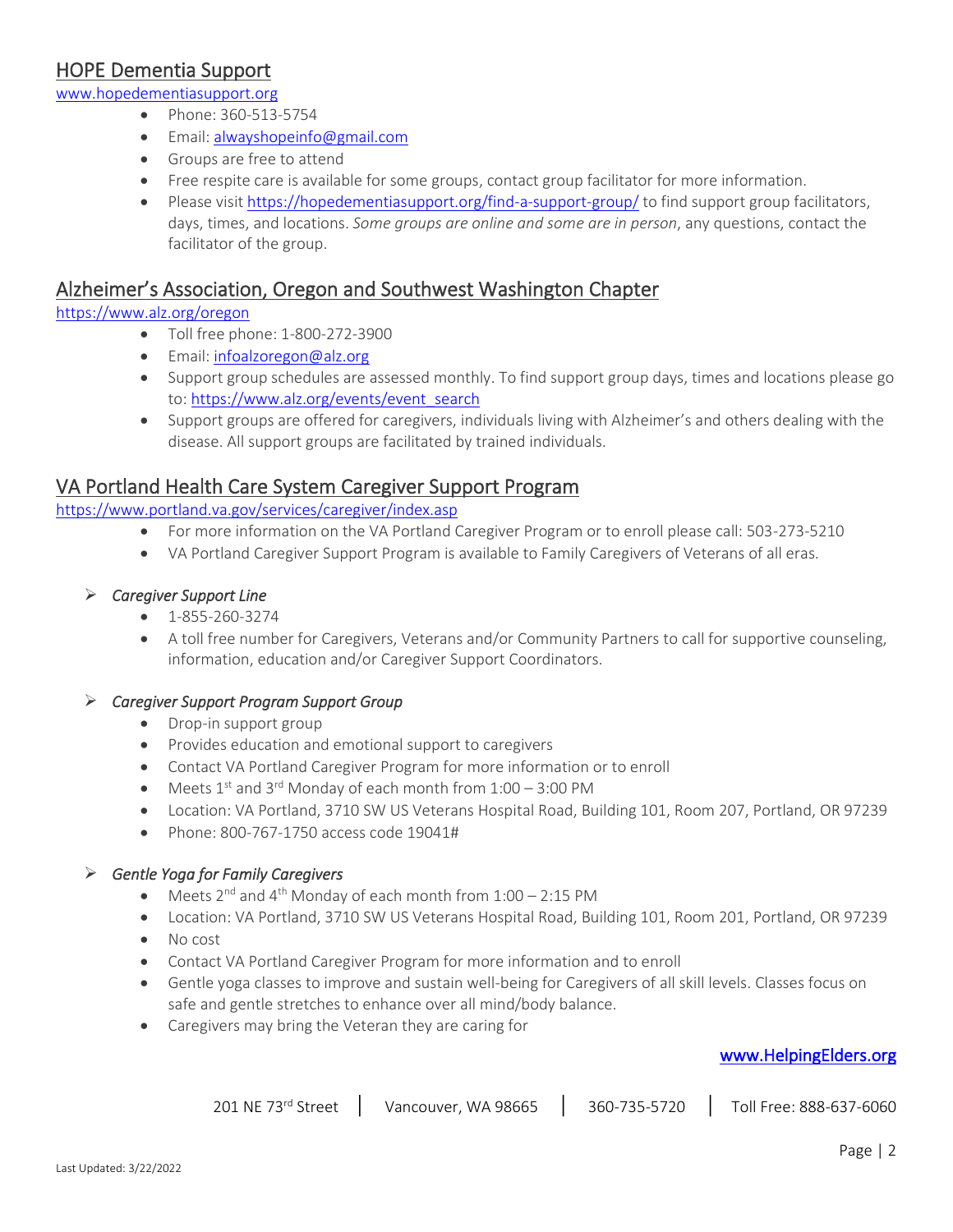# HOPE Dementia Support

[www.hopedementiasupport.org](http://www.hopedementiasupport.org/)

- Phone: 360-513-5754
- Email[: alwayshopeinfo@gmail.com](mailto:thereisalwayshopeinfo@gmail.com)
- Groups are free to attend
- Free respite care is available for some groups, contact group facilitator for more information.
- Please visit <https://hopedementiasupport.org/find-a-support-group/> to find support group facilitators, days, times, and locations. *Some groups are online and some are in person*, any questions, contact the facilitator of the group.

## Alzheimer's Association, Oregon and Southwest Washington Chapter

#### <https://www.alz.org/oregon>

- Toll free phone: 1-800-272-3900
- Email[: infoalzoregon@alz.org](mailto:infoalzoregon@alz.org)
- Support group schedules are assessed monthly. To find support group days, times and locations please go to[: https://www.alz.org/events/event\\_search](https://www.alz.org/events/event_search?etid=2&cid=148&_gl=1*1ttrp68*_ga*MTQ3NDczNTc4Mi4xNjMwNTMyMDE4*_ga_9JTEWVX24V*MTYzMDUzMjAxNy4xLjEuMTYzMDUzMjAzNi4w&_ga=2.150276534.1068155905.1630532018-1474735782.1630532018)
- Support groups are offered for caregivers, individuals living with Alzheimer's and others dealing with the disease. All support groups are facilitated by trained individuals.

### VA Portland Health Care System Caregiver Support Program

#### <https://www.portland.va.gov/services/caregiver/index.asp>

- For more information on the VA Portland Caregiver Program or to enroll please call: 503-273-5210
- VA Portland Caregiver Support Program is available to Family Caregivers of Veterans of all eras.

#### ➢ *Caregiver Support Line*

- 1-855-260-3274
- A toll free number for Caregivers, Veterans and/or Community Partners to call for supportive counseling, information, education and/or Caregiver Support Coordinators.

#### ➢ *Caregiver Support Program Support Group*

- Drop-in support group
- Provides education and emotional support to caregivers
- Contact VA Portland Caregiver Program for more information or to enroll
- Meets  $1^{st}$  and  $3^{rd}$  Monday of each month from  $1:00-3:00$  PM
- Location: VA Portland, 3710 SW US Veterans Hospital Road, Building 101, Room 207, Portland, OR 97239
- Phone: 800-767-1750 access code 19041#

#### ➢ *Gentle Yoga for Family Caregivers*

- Meets  $2^{nd}$  and  $4^{th}$  Monday of each month from  $1:00 2:15$  PM
- Location: VA Portland, 3710 SW US Veterans Hospital Road, Building 101, Room 201, Portland, OR 97239
- No cost
- Contact VA Portland Caregiver Program for more information and to enroll
- Gentle yoga classes to improve and sustain well-being for Caregivers of all skill levels. Classes focus on safe and gentle stretches to enhance over all mind/body balance.
- Caregivers may bring the Veteran they are caring for

| 201 NE 73rd Street | Vancouver, WA 98665 | 360-735-5720 | Toll Free: 888-637-6060 |
|--------------------|---------------------|--------------|-------------------------|
|--------------------|---------------------|--------------|-------------------------|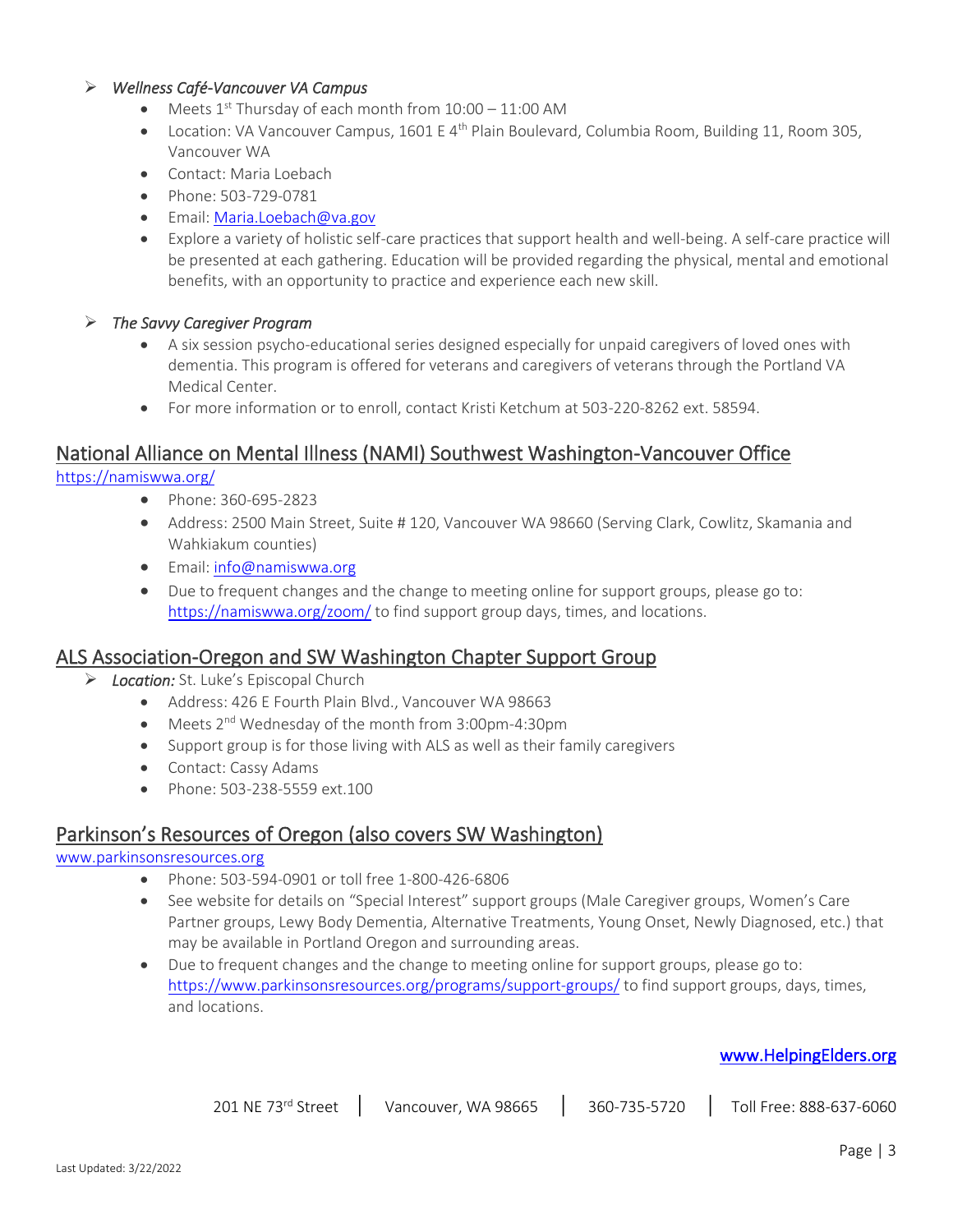#### ➢ *Wellness Café-Vancouver VA Campus*

- Meets  $1<sup>st</sup>$  Thursday of each month from  $10:00 11:00$  AM
- Location: VA Vancouver Campus, 1601 E 4<sup>th</sup> Plain Boulevard, Columbia Room, Building 11, Room 305, Vancouver WA
- Contact: Maria Loebach
- Phone: 503-729-0781
- Email[: Maria.Loebach@va.gov](mailto:Maria.Loebach@va.gov)
- Explore a variety of holistic self-care practices that support health and well-being. A self-care practice will be presented at each gathering. Education will be provided regarding the physical, mental and emotional benefits, with an opportunity to practice and experience each new skill.

#### ➢ *The Savvy Caregiver Program*

- A six session psycho-educational series designed especially for unpaid caregivers of loved ones with dementia. This program is offered for veterans and caregivers of veterans through the Portland VA Medical Center.
- For more information or to enroll, contact Kristi Ketchum at 503-220-8262 ext. 58594.

### National Alliance on Mental Illness (NAMI) Southwest Washington-Vancouver Office

<https://namiswwa.org/>

- Phone: 360-695-2823
- Address: 2500 Main Street, Suite # 120, Vancouver WA 98660 (Serving Clark, Cowlitz, Skamania and Wahkiakum counties)
- Email[: info@namiswwa.org](mailto:info@namiswwa.org)
- Due to frequent changes and the change to meeting online for support groups, please go to: <https://namiswwa.org/zoom/> to find support group days, times, and locations.

#### ALS Association-Oregon and SW Washington Chapter Support Group

- ➢ *Location:* St. Luke's Episcopal Church
	- Address: 426 E Fourth Plain Blvd., Vancouver WA 98663
	- Meets 2<sup>nd</sup> Wednesday of the month from 3:00pm-4:30pm
	- Support group is for those living with ALS as well as their family caregivers
	- Contact: Cassy Adams
	- Phone: 503-238-5559 ext.100

### Parkinson's Resources of Oregon (also covers SW Washington)

#### [www.parkinsonsresources.org](http://www.parkinsonsresources.org/)

- Phone: 503-594-0901 or toll free 1-800-426-6806
- See website for details on "Special Interest" support groups (Male Caregiver groups, Women's Care Partner groups, Lewy Body Dementia, Alternative Treatments, Young Onset, Newly Diagnosed, etc.) that may be available in Portland Oregon and surrounding areas.
- Due to frequent changes and the change to meeting online for support groups, please go to: <https://www.parkinsonsresources.org/programs/support-groups/> to find support groups, days, times, and locations.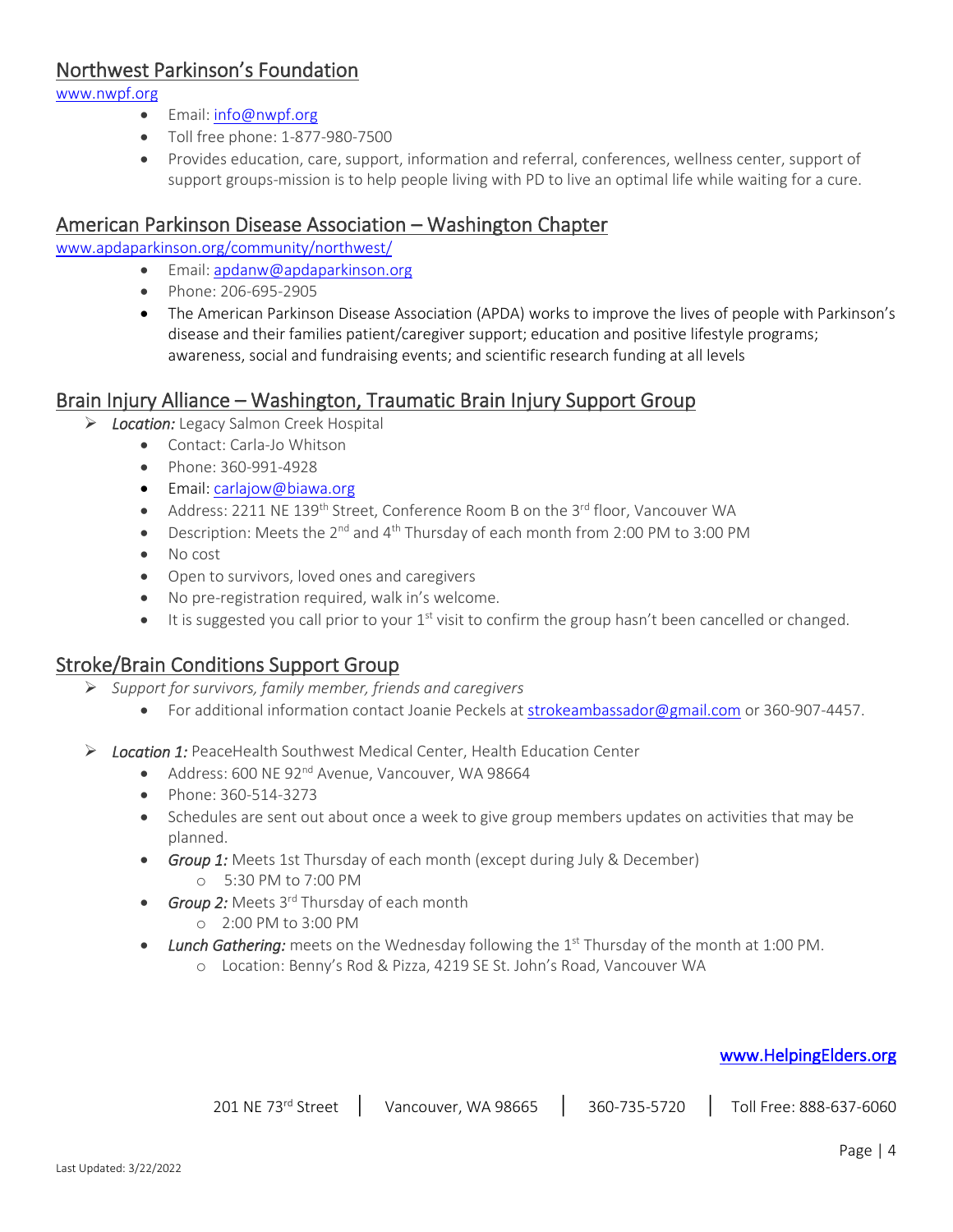## Northwest Parkinson's Foundation

[www.nwpf.org](http://www.nwpf.org/)

- Email[: info@nwpf.org](mailto:info@nwpf.org)
- Toll free phone: 1-877-980-7500
- Provides education, care, support, information and referral, conferences, wellness center, support of support groups-mission is to help people living with PD to live an optimal life while waiting for a cure.

## American Parkinson Disease Association – Washington Chapter

[www.apdaparkinson.org/community/northwest/](http://www.apdaparkinson.org/community/northwest/)

- Email[: apdanw@apdaparkinson.org](mailto:apdanw@apdaparkinson.org)
- Phone: 206-695-2905
- The American Parkinson Disease Association (APDA) works to improve the lives of people with Parkinson's disease and their families patient/caregiver support; education and positive lifestyle programs; awareness, social and fundraising events; and scientific research funding at all levels

### Brain Injury Alliance – Washington, Traumatic Brain Injury Support Group

- ➢ *Location:* Legacy Salmon Creek Hospital
	- Contact: Carla-Jo Whitson
	- Phone: 360-991-4928
	- Email[: carlajow@biawa.org](mailto:carlajow@biawa.org)
	- Address: 2211 NE 139<sup>th</sup> Street, Conference Room B on the 3<sup>rd</sup> floor, Vancouver WA
	- Description: Meets the 2<sup>nd</sup> and 4<sup>th</sup> Thursday of each month from 2:00 PM to 3:00 PM
	- No cost
	- Open to survivors, loved ones and caregivers
	- No pre-registration required, walk in's welcome.
	- $\bullet$  It is suggested you call prior to your 1<sup>st</sup> visit to confirm the group hasn't been cancelled or changed.

### Stroke/Brain Conditions Support Group

- ➢ *Support for survivors, family member, friends and caregivers*
	- For additional information contact Joanie Peckels at [strokeambassador@gmail.com](mailto:strokeambassador@gmail.com) or 360-907-4457.
- ➢ *Location 1:* PeaceHealth Southwest Medical Center, Health Education Center
	- Address: 600 NE 92<sup>nd</sup> Avenue, Vancouver, WA 98664
	- Phone: 360-514-3273
	- Schedules are sent out about once a week to give group members updates on activities that may be planned.
	- *Group 1:* Meets 1st Thursday of each month (except during July & December)
		- o 5:30 PM to 7:00 PM
	- **Group 2:** Meets 3<sup>rd</sup> Thursday of each month
		- o 2:00 PM to 3:00 PM
	- Lunch Gathering: meets on the Wednesday following the 1<sup>st</sup> Thursday of the month at 1:00 PM.
		- o Location: Benny's Rod & Pizza, 4219 SE St. John's Road, Vancouver WA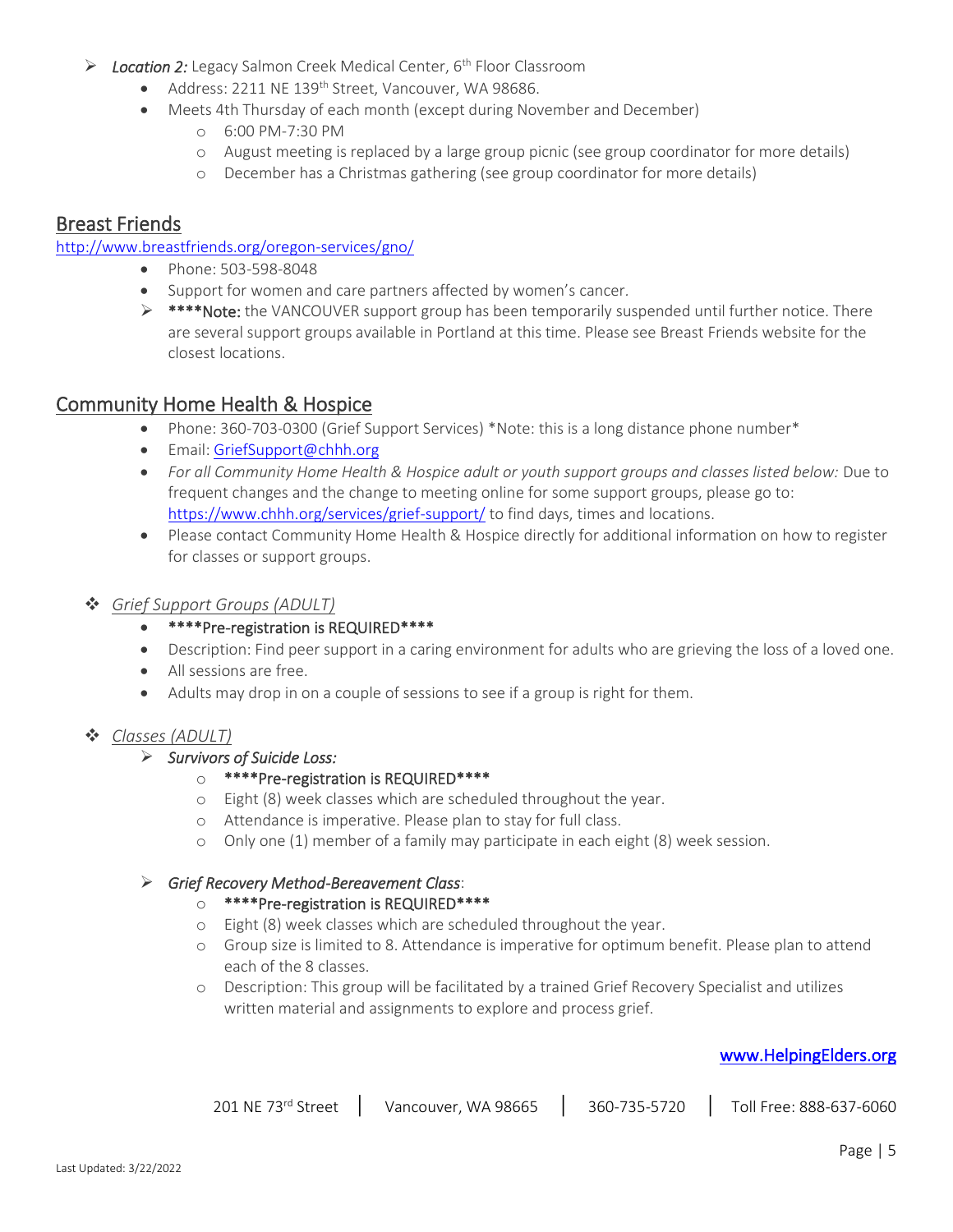- ➢ *Location 2:* Legacy Salmon Creek Medical Center, 6th Floor Classroom
	- Address: 2211 NE 139<sup>th</sup> Street, Vancouver, WA 98686.
	- Meets 4th Thursday of each month (except during November and December)
		- o 6:00 PM-7:30 PM
		- o August meeting is replaced by a large group picnic (see group coordinator for more details)
		- o December has a Christmas gathering (see group coordinator for more details)

## Breast Friends

#### <http://www.breastfriends.org/oregon-services/gno/>

- Phone: 503-598-8048
- Support for women and care partners affected by women's cancer*.*
- ➢ \*\*\*\*Note: the VANCOUVER support group has been temporarily suspended until further notice. There are several support groups available in Portland at this time. Please see Breast Friends website for the closest locations.

## Community Home Health & Hospice

- Phone: 360-703-0300 (Grief Support Services) \*Note: this is a long distance phone number\*
- Email[: GriefSupport@chhh.org](mailto:GriefSupport@chhh.org)
- *For all Community Home Health & Hospice adult or youth support groups and classes listed below:* Due to frequent changes and the change to meeting online for some support groups, please go to: <https://www.chhh.org/services/grief-support/> to find days, times and locations.
- Please contact Community Home Health & Hospice directly for additional information on how to register for classes or support groups.

### ❖ *Grief Support Groups (ADULT)*

- \*\*\*\*Pre-registration is REQUIRED\*\*\*\*
- Description: Find peer support in a caring environment for adults who are grieving the loss of a loved one.
- All sessions are free.
- Adults may drop in on a couple of sessions to see if a group is right for them.

## ❖ *Classes (ADULT)*

#### ➢ *Survivors of Suicide Loss:*

### o \*\*\*\*Pre-registration is REQUIRED\*\*\*\*

- o Eight (8) week classes which are scheduled throughout the year.
- o Attendance is imperative. Please plan to stay for full class.
- o Only one (1) member of a family may participate in each eight (8) week session.

### ➢ *Grief Recovery Method-Bereavement Class*:

- o \*\*\*\*Pre-registration is REQUIRED\*\*\*\*
- o Eight (8) week classes which are scheduled throughout the year.
- o Group size is limited to 8. Attendance is imperative for optimum benefit. Please plan to attend each of the 8 classes.
- o Description: This group will be facilitated by a trained Grief Recovery Specialist and utilizes written material and assignments to explore and process grief.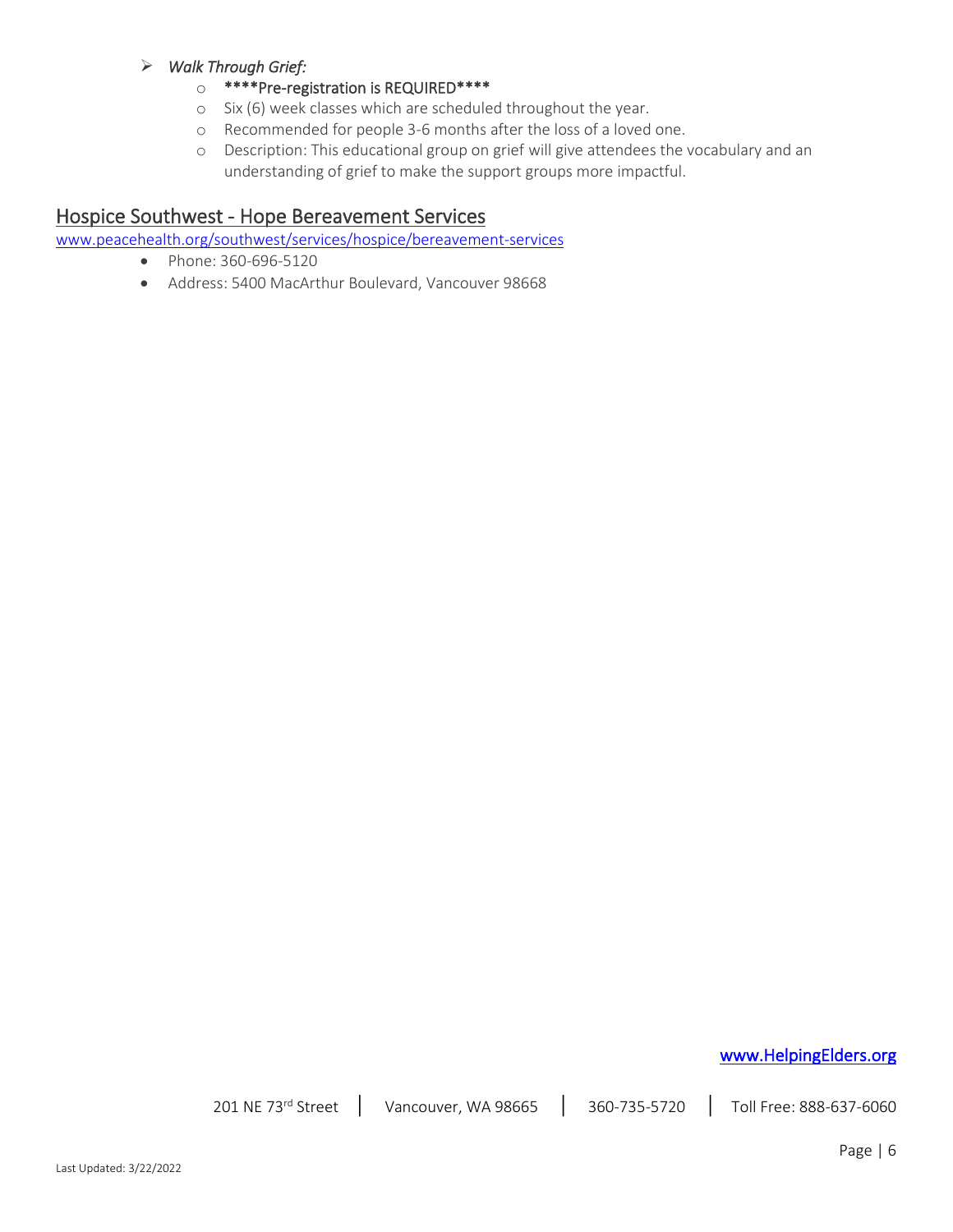#### ➢ *Walk Through Grief:*

- o \*\*\*\*Pre-registration is REQUIRED\*\*\*\*
- o Six (6) week classes which are scheduled throughout the year.
- o Recommended for people 3-6 months after the loss of a loved one.
- o Description: This educational group on grief will give attendees the vocabulary and an understanding of grief to make the support groups more impactful.

## Hospice Southwest - Hope Bereavement Services

[www.peacehealth.org/southwest/services/hospice/bereavement-services](http://www.peacehealth.org/southwest/services/hospice/bereavement-services)

- Phone: 360-696-5120
- Address: 5400 MacArthur Boulevard, Vancouver 98668

## [www.HelpingElders.org](http://www.helpingelders.org/)

201 NE 73<sup>rd</sup> Street | Vancouver, WA 98665 | 360-735-5720 | Toll Free: 888-637-6060